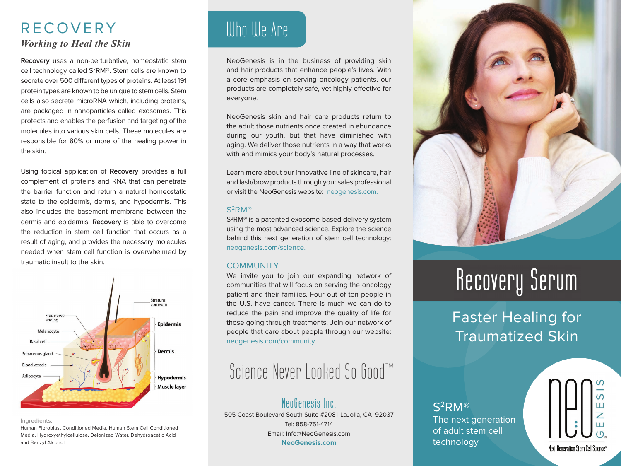### RECOVERY *Working to Heal the Skin*

**Recovery** uses a non-perturbative, homeostatic stem cell technology called S2RM®. Stem cells are known to secrete over 500 different types of proteins. At least 191 protein types are known to be unique to stem cells. Stem cells also secrete microRNA which, including proteins, are packaged in nanoparticles called exosomes. This protects and enables the perfusion and targeting of the molecules into various skin cells. These molecules are responsible for 80% or more of the healing power in the skin.

Using topical application of **Recovery** provides a full complement of proteins and RNA that can penetrate the barrier function and return a natural homeostatic state to the epidermis, dermis, and hypodermis. This also includes the basement membrane between the dermis and epidermis. **Recovery** is able to overcome the reduction in stem cell function that occurs as a result of aging, and provides the necessary molecules needed when stem cell function is overwhelmed by traumatic insult to the skin.



#### **Ingredients:**

Human Fibroblast Conditioned Media, Human Stem Cell Conditioned Media, Hydroxyethylcellulose, Deionized Water, Dehydroacetic Acid and Benzyl Alcohol.

# Who We Are

NeoGenesis is in the business of providing skin and hair products that enhance people's lives. With a core emphasis on serving oncology patients, our products are completely safe, yet highly effective for everyone.

NeoGenesis skin and hair care products return to the adult those nutrients once created in abundance during our youth, but that have diminished with aging. We deliver those nutrients in a way that works with and mimics your body's natural processes.

Learn more about our innovative line of skincare, hair and lash/brow products through your sales professional or visit the NeoGenesis website: neogenesis.com.

#### S2RM®

S2RM® is a patented exosome-based delivery system using the most advanced science. Explore the science behind this next generation of stem cell technology: neogenesis.com/science.

#### **COMMUNITY**

We invite you to join our expanding network of communities that will focus on serving the oncology patient and their families. Four out of ten people in the U.S. have cancer. There is much we can do to reduce the pain and improve the quality of life for those going through treatments. Join our network of people that care about people through our website: neogenesis.com/community.

### Science Never Looked So Good™

### **NeoGenesis Inc.**

505 Coast Boulevard South Suite #208 | LaJolla, CA 92037 Tel: 858-751-4714 Email: Info@NeoGenesis.com **NeoGenesis.com**



# **Recovery Serum**

### Faster Healing for Traumatized Skin

S2RM® The next generation of adult stem cell technology